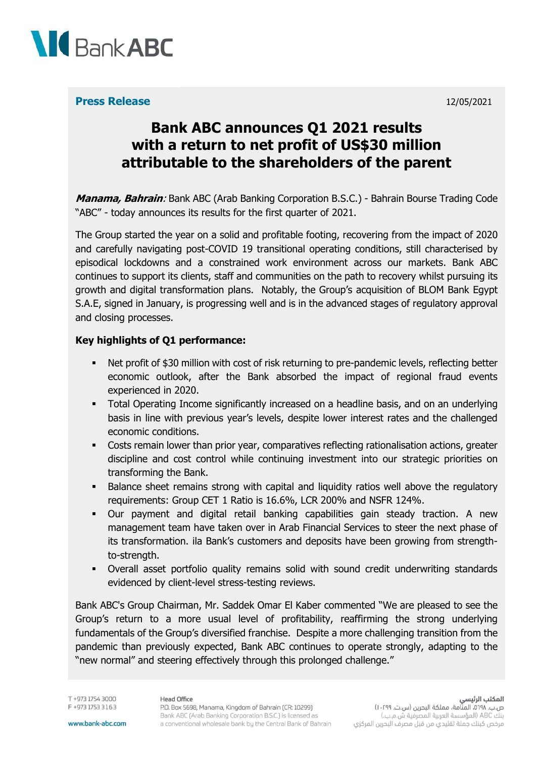

#### **Press Release** 12/05/2021

# **Bank ABC announces Q1 2021 results with a return to net profit of US\$30 million attributable to the shareholders of the parent**

**Manama, Bahrain**: Bank ABC (Arab Banking Corporation B.S.C.) - Bahrain Bourse Trading Code "ABC" - today announces its results for the first quarter of 2021.

The Group started the year on a solid and profitable footing, recovering from the impact of 2020 and carefully navigating post-COVID 19 transitional operating conditions, still characterised by episodical lockdowns and a constrained work environment across our markets. Bank ABC continues to support its clients, staff and communities on the path to recovery whilst pursuing its growth and digital transformation plans. Notably, the Group's acquisition of BLOM Bank Egypt S.A.E, signed in January, is progressing well and is in the advanced stages of regulatory approval and closing processes.

#### **Key highlights of Q1 performance:**

- Net profit of \$30 million with cost of risk returning to pre-pandemic levels, reflecting better economic outlook, after the Bank absorbed the impact of regional fraud events experienced in 2020.
- **•** Total Operating Income significantly increased on a headline basis, and on an underlying basis in line with previous year's levels, despite lower interest rates and the challenged economic conditions.
- **•** Costs remain lower than prior year, comparatives reflecting rationalisation actions, greater discipline and cost control while continuing investment into our strategic priorities on transforming the Bank.
- Balance sheet remains strong with capital and liquidity ratios well above the regulatory requirements: Group CET 1 Ratio is 16.6%, LCR 200% and NSFR 124%.
- Our payment and digital retail banking capabilities gain steady traction. A new management team have taken over in Arab Financial Services to steer the next phase of its transformation. ila Bank's customers and deposits have been growing from strengthto-strength.
- Overall asset portfolio quality remains solid with sound credit underwriting standards evidenced by client-level stress-testing reviews.

Bank ABC's Group Chairman, Mr. Saddek Omar El Kaber commented "We are pleased to see the Group's return to a more usual level of profitability, reaffirming the strong underlying fundamentals of the Group's diversified franchise. Despite a more challenging transition from the pandemic than previously expected, Bank ABC continues to operate strongly, adapting to the "new normal" and steering effectively through this prolonged challenge."

T +973 1754 3000 F +973 1753 3163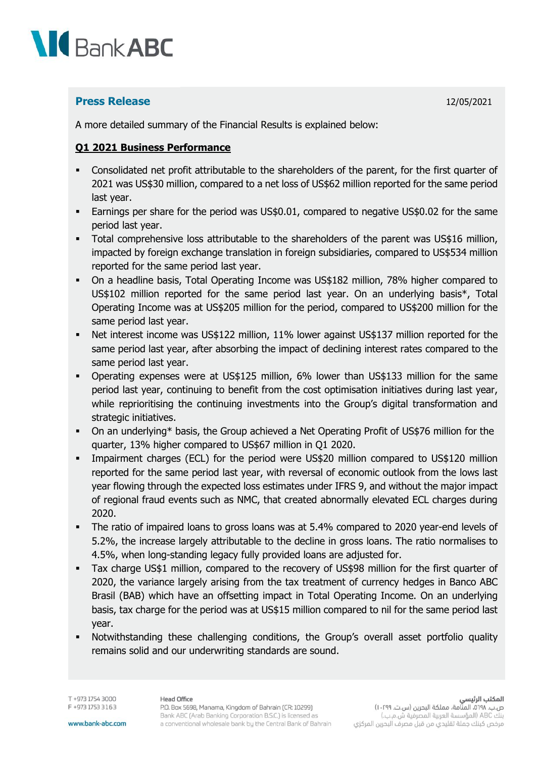

# **Press Release** 12/05/2021

A more detailed summary of the Financial Results is explained below:

### **Q1 2021 Business Performance**

- Consolidated net profit attributable to the shareholders of the parent, for the first quarter of 2021 was US\$30 million, compared to a net loss of US\$62 million reported for the same period last year.
- **Earnings per share for the period was US\$0.01, compared to negative US\$0.02 for the same** period last year.
- Total comprehensive loss attributable to the shareholders of the parent was US\$16 million, impacted by foreign exchange translation in foreign subsidiaries, compared to US\$534 million reported for the same period last year.
- On a headline basis, Total Operating Income was US\$182 million, 78% higher compared to US\$102 million reported for the same period last year. On an underlying basis\*, Total Operating Income was at US\$205 million for the period, compared to US\$200 million for the same period last year.
- Net interest income was US\$122 million, 11% lower against US\$137 million reported for the same period last year, after absorbing the impact of declining interest rates compared to the same period last year.
- Operating expenses were at US\$125 million, 6% lower than US\$133 million for the same period last year, continuing to benefit from the cost optimisation initiatives during last year, while reprioritising the continuing investments into the Group's digital transformation and strategic initiatives.
- On an underlying\* basis, the Group achieved a Net Operating Profit of US\$76 million for the quarter, 13% higher compared to US\$67 million in Q1 2020.
- **•** Impairment charges (ECL) for the period were US\$20 million compared to US\$120 million reported for the same period last year, with reversal of economic outlook from the lows last year flowing through the expected loss estimates under IFRS 9, and without the major impact of regional fraud events such as NMC, that created abnormally elevated ECL charges during 2020.
- The ratio of impaired loans to gross loans was at 5.4% compared to 2020 year-end levels of 5.2%, the increase largely attributable to the decline in gross loans. The ratio normalises to 4.5%, when long-standing legacy fully provided loans are adjusted for.
- Tax charge US\$1 million, compared to the recovery of US\$98 million for the first quarter of 2020, the variance largely arising from the tax treatment of currency hedges in Banco ABC Brasil (BAB) which have an offsetting impact in Total Operating Income. On an underlying basis, tax charge for the period was at US\$15 million compared to nil for the same period last year.
- Notwithstanding these challenging conditions, the Group's overall asset portfolio quality remains solid and our underwriting standards are sound.

T +973 1754 3000 F +973 1753 3163

#### **Head Office**